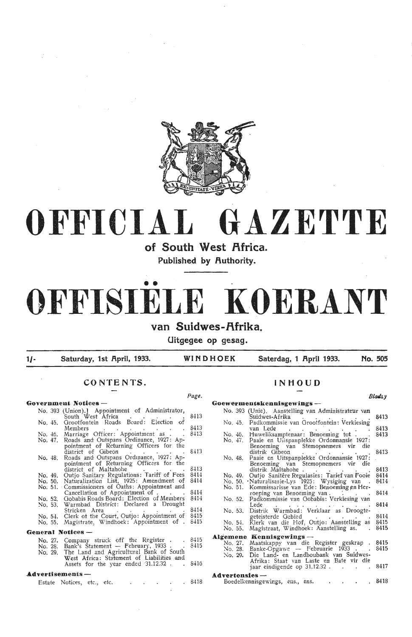

# **OFFICIAL GAZETTE**

**of South West Africa.** 

**Published by Authority .** 

## • • **OFFISIELE KOERANT**  van Suidwes-Afrika.

**Uitgegee op gesag.** 

| 1/- | Saturday, 1st April, 1933. | WINDHOEK | Saterdag, 1 April 1933. | No. 505 |
|-----|----------------------------|----------|-------------------------|---------|
|-----|----------------------------|----------|-------------------------|---------|

### **CONTENTS.**

#### *Page. Bla4lsy*  Government Notices - $G$ oewermentskennisgewings -No. 393 (Unie). Aanstelling van Administrateur van Suidwes-Afrika<br>No. 45. Padkommissie van Grootfontein: Verkiesing<br>van Lede<br>No. 46. Huweliksamptenaar: Benoeming tot . . .<br>No. 47. Paaie en Uitspanplekke Ordomansie 1927: No. 393 (Union).) Appointment of Administrator, South West Africa<br>No. 45. Grootfontein Roads Board: Election of<br>Members 8413 South West Africa . . . . . 8413 Members . . . . . . 8413 No. 46, Marriage Officer: Appointment as . . 8413 No. 46. Huweliksamptenaar: Benoeming tot . . No. 47. Paaie en Uilspanplekke Ordonnansie 1927: No. 47. Roads and Outspans Ordinance, 1927: Appointment of Returning Officers for the<br>district of Gibeon . . . . . 8413<br>Roads and Outspans Ordinance, 1927: Ap-Benoeming van Stemopnemers vir die distrik Gibeon<br>distrik Oibeon<br>No. 48. Paaie en Uitspanplekke Ordonnansie 1927:<br>Benoeming van Stemopnemers vir die Benoeming van Stemopnemers vir die No. 48. Roads and Outspans Ordinance, 1927: Ap-<br>pointment of Returning Officers for the Benoeming van Stemopnemers<br>distrik Maltahohe district of Maltahohe  $\sim$  . . . . 8413 distrik Ma ltahohe . . . . . . No. 49. Outjo Sanitere Regu!asies: Tarief van Fooie No. 49. Outjo Sanitary Regulations: Tariff of Fees 8414 No. 50. Naturalization List, 1925: Amendment of 8414 No. 50. Waturalisasie-Lys 1925: Wysiging van<br>No. 51. Kommissarisse van Ede: Benoeming en Herroeping van Benoeming van.<br>No. 52. Padkommissie van Gobabis: Verkiesing van<br>Lede<br>No. 53. Distrik Warmbad: Verklaar as Droogte-<br>get No. 51. Commissioners of Oaths: Appointment and Cancellation of Appointment of . . . . . 8414 No. 52. Gobabis Roads Board: Election of Members 8414 No. 53. Warmbad District: Declared a Drought Stricken Area . . . . . . . . . 8414<br>No. 54. Clerk of the Court, Outjo: Appointment of 8415 No. 55. Magistrate, Windhoek: Appointment of . 8415 General Notices –<br>No. 27. Company **Algemene Kennisgewings --**<br>No. 27. Maatskappy van die Register geskrap .<br>No. 28. Banke-Opgawe -- Februarie 1933 . . . No. 27. Company struck off the Register . 8415 No. 28. Bank<sup>3</sup>s Statement - February, 1933 . . 8415 No. 29. The Land and Agricultural Bank of South :~o. 29. Die Land- en Landboubank van Suidwes- Afrika: Staat van Laste en Bate vir die West Africa: Statement of Liabilities and Assets for the year ended 31.12.32. S416 jaar eindigende op 31.12.32 .  $\ddot{\phantom{a}}$ **A.dvertisem.ents** - Advertensies --<br>Boedelkennisgewings, ens., ens. 8418

Estate Notices, etc., etc. and a set of the S418

### **INHOUD**

8413 8413 8413 8413 8414 8414 8414 8414 8414 8415 8415 8415 8415 8417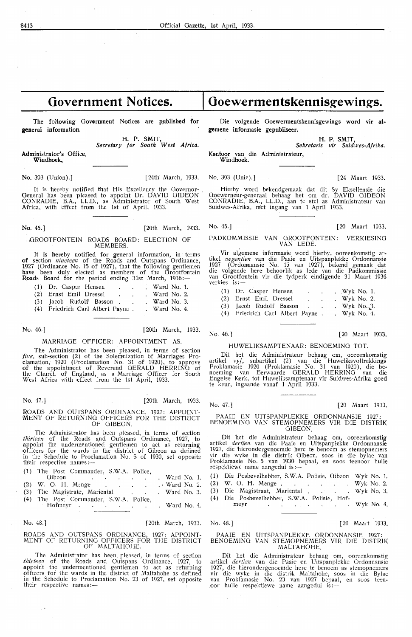### **Government Notices.**

The following Government Notices are published for general information.

> H. P. SMlt, *Secretary for South West Africa.*

Administrator's Office, Windhoek,

No. 393 (Union).] [24th March, 1933. No. 393 (Unie).] [24 Maart 1933.

It is hereby notified that His Excellency the Governor-General has been pleased to appoint Dr. DAVID GIDEON CONRADIE, B.A., LL.D., as Administrator of South West Africa, with effect from the 1st of April, 1933.

No. 45.] [20th March, 1933. No. 45.] [20 Maart 1933.

### ,GROOTFONTEIN ROADS BOARD: ELECTION OF MEMBERS.

It is hereby notified for general information, in terms of section *nineteen* of the Roads and Outspans Ordinance, 1927 (Ordinance No. 15 of 1927), that the following gentlemen have been duly elected as members of the Orootfontein Roads Board for the period ending 31st March, 1936:-

| (1) Dr. Casper Hensen            | ٠ |  | . Ward No. 1. |
|----------------------------------|---|--|---------------|
| (2) Ernst Emil Dressel           |   |  | . Ward No. 2. |
| (3) Jacob Rudolf Basson.         |   |  | . Ward No. 3. |
| (4) Friedrich Carl Albert Payne. |   |  | . Ward No. 4. |

No. 46.] [20th March, 1933.

### MARRIAGE OFFICER: APPOINTMENT AS.

The Administrator has been pleased, in terms of section *five,* sub-section (2) of the Solemnization of Marriages Proclamation, 1920 (Proclamation No. 31 of 1920), to approve of the appointment of Reverend GERALD HERRING of the Church of England, as a Marriage Officer for South West Africa with effoct from the 1st April, 1933.

No. 47.] [20th March, 1933.

ROADS AND OUTSPANS ORDINANCE, 1927: APPOINT-MENT OF RETURNING OFFICERS FOR THE DISTRICT OF GIBEON.

The Administrator has been pleased, in terms of section *th'irteen* of the Roads and Outspans Ordinance, 1927, to appoint the undermentioned gentlemen to act as returning officers for the wards in the district of Gibeon as defined in the Schedule to Proclamation No. S of 1930, set opposik their respective names :-

| (1) The Post Commander, S.W.A. Police,                          |               |
|-----------------------------------------------------------------|---------------|
| Gibeon<br>the contract of the contract of the contract of       | . Ward No. 1. |
| (2) W. O. H. Menge Ward No. 2.                                  |               |
| (3) The Magistrate, Mariental (3) The Magistrate, Mariental (3) |               |
| (4) The Post Commander, S.W.A. Police.                          |               |
|                                                                 |               |
|                                                                 |               |

No. 48.] [20th March, 1933. No. 48.] [20 Maart 1933,

#### ROADS AND OUTSPANS ORDINANCE, 1927: APPOINT-MENT OF RETURNING OFFICERS FOR THE DISTRICT OF MALTAHOHE.

The Administrator has been pleased, in terms of section *thirteen* of the Roads and Outspans Ordinance, 1927, to appoint the undermentioned gentlemen to act as returning officers for the wards in the district of Maltahohe as defined in the Schedule to Proclamation No. 23 of 1927, set opposite their respective names:-

### Goewermentskennisgewings.

Die volgende Ooewermentskennisgewings word vir algemene informasie gepubliseer.

H. P. SMIT,

*Sekretaris* **vir** *Suidwes-Af* **rik.a.**  Kantoor van die Administrateur, Windhoek.

Hierby Word bekendgemaak dat dit Sy Eksellensie die Ooewerneur-generaal behaag het om dr. DAVID GIDEON CONRADIE, B.A., LL.D., aan te stel as Administrateur van Suidwes-Afrika, m'et ingang van 1 April 1933.

### PADKOMMISSIE VAN GROOTFONTEIN: VERKIESING

VAN LEDE. Vir algemene informasie word hierby, ooreenkomstig ar-<br>tikel *negentien* van die Paaie en Uitspanplekke Ordonnansie 1927 (Ordonnansie No. 15 van 1927), bekend gemaak dat die volgende here behoorlik as lede van die Padkommissie van Grootfontein vir die tydperk eindigende 31 Maart 1936 verkies is:

| (1) Dr. Casper Hensen            |  | . Wyk No. $1$ . |
|----------------------------------|--|-----------------|
| (2) Ernst Emil Dressel           |  | . Wyk No. 2.    |
| (3) Jacob Rudolf Basson.         |  | . Wyk No. $3$ . |
| (4) Friedrich Carl Albert Payne. |  | . Wyk No. $4$ . |

No. 46.]

[20 Maart 1933,

### HUWELIKSAMPTENAAR: BENOEMING TOT.

Dit het die Administrateur behaag om, ooreenkomstig<br>artikel *vyf*, subartikel (2) van die Huweliksvoltrekkings Proklamasie 1920 (Proklamasie No. 31 van 1920), die benoeming van Eerwaarde GERALD HERRING van die Engelse Kerk, tot Huweliksamptenaar vir Suidwes-Afrika goed te keur, ingaande vanaf 1 April 1933.

No. 47.] [ 20 Maart 1933.

#### PAAIE EN UITSPANPLEKKE ORDONNANSIE 1927: BENOEMING VAN STEMOPNEMERS VIR DIE DISTRIK GIBEON.

Dit het die Administrateur behaag om, ooreenkomstig artikel *dertien* van die Paaie en Uitspanplekke Ordonnansie 1927, die h'ierondergenoemde here te benoem as stemopnemers vir die wyke in die distrik Gibeon, soos in die bylae van Proklamasie No. 5 van 1930 bepaal, en soos teenoor hulle respektiewe name aangedui is:-

- ( 1) Die Posbevelhebber, S.W.A. Polisie, Gibeon Wyk No. 1.
- (2) W. O. H. Menge . . . . . . . Wyk No. 2.<br>(3) Die Magistraat, Mariental . . . . . Wyk No. 3. (3) Die Magistraat, Mariental . 1999 – Wyk No. 3.
- (4) Die Posbevelhebber, S.W.A. Polisie, Hof-
- meyr . . . . . . . . Wyk No. 4.

#### PAAIE EN UITSPANPLEKKE ORDONNANSIE 1927: BENOEMING VAN STEMOPNEMERS VIR DIE DISTRIK MALTAHOHE.

Dit het die Administrateur behaag om, ooreenkomstig artikel *dertien* van die Paaie en Uitspanplekke Ordonnansie 1927, die hierondergenoemde here te benoem as stemopnemers vir die wyke in die distrik Maltahohe, soos in die Bylae van Proklamasie No. 23 van 1927 bepaal, en soos teenoor hulle respektiewe name aangedui is:-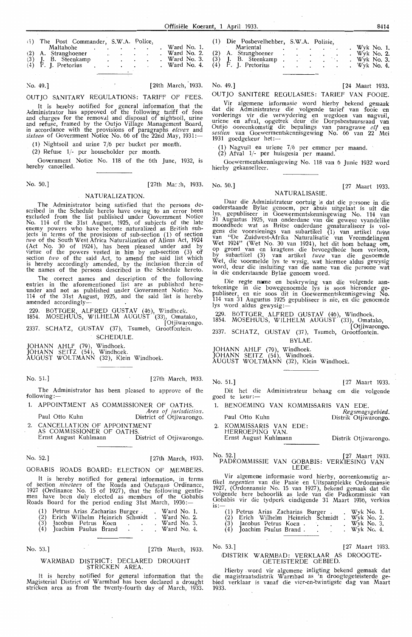No. 49.] [24th March, 1933.

OUTJO SANITARY REGULATIONS: TARIFF OF FEES. It is hereby notified for general information that the<br>Administrator has approved of the following tariff of fees<br>and charges for the removal and disposal of nightsoil, urine<br>and refuse, framed by the Outjo Village Managem in accordance with the provisions of paragraphs *eleven* and *sixteen* of Government Notice No. 66 of the 22nd May, 1931:—

(1) Nightsoil and urine 7 /6 per bucket per month.

(2) Refuse 1/- per householder per month.

Government Notice No. 118 of the 6th June, 1932, is hereby cancelled.

No. 50.] [27th Ma: :h, 1933. No. 50.] [27 Maart 1933.

### NATURALIZATION.

The Administrator being satisfied that the persons described in the Schedule hereto have owing to an error been excluded from the list published under Government Notice<br>No. 114 of the 31st August, 1925, of subjects of the late<br>enemy powers who have become naturalized as British subjects in terms of the provisions of sub-section (1) of section *two* of the South West Africa Naturalization of Aliens Act, 1924 (Act No. 30 of 1924), has been pleased under and by<br>virtue of the powers vested in him by sub-section (3) of section *two* of the said Act, to amend the said list which is hereby accordingly amended, by the inclusion therein of the names of the persons described in the Schedule hereto.

The correct names and description of the entries in the aforementioned list are as published hereunder and not as published under Government Notice No. 114 of the 31st August, 1925, and the said list is hereby amended accordingly-

229. BOTTOER, ALFRED GUSTAV (46), Windhcek.

1854. MOSEHUUS, WILHELM AUGUST (33), Omatako [Otjiwarongo.

2337. SCHATZ, GUSTAV (37), Tsumeb, Orootfontein. SCHEDULE.

JOHANN AHLF (79), Windhoek<br>JOHANN SEITZ (54), Windhoe

JOHANN SEITZ (54), Windhoek.

AUGUST WOLTMANN (32), Klein Windhoek.

No. 51.) [27th March, 1933. No. 51.] [27 Maart 1933.

The Administrator has been pleased to approve of the following:-

1. APPOINTMENT AS COMMISSIONER OF OATHS

*Area of jurisdictio.1.*  Paul Otto Kuhn District of Otjiwarongo.

2. CANCELLATION OF APPOINTMENT AS COMMISSIONER OF OATHS. Ernst August Kuhlmann District of Otjiwarongo.

No. 52.] [27th March, 1933.

### GOBABIS ROADS BOARD: ELECTION OF MEMBERS

It is hereby notified for general information, in terms of section *nineteen* of the Roads and Outspans Ordinance<br>1927 (Ordinance No. 15 of 1927), that the following gentle-<br>men have been duly elected as -members of the Oobabis Roads Board for the period ending 31st March, 1936:-

| $\begin{pmatrix} 1 \\ 2 \\ 3 \\ 4 \end{pmatrix}$ | Petrus Arias Zacharias Burger. |  | Ward No. 1. |
|--------------------------------------------------|--------------------------------|--|-------------|
|                                                  | Erich Wilhelm Heinrich Schmidt |  | Ward No. 2. |
|                                                  | Jacobus Petrus Koen            |  | Ward No. 3. |
|                                                  | Joachim Paulus Brand           |  | Ward No. 4. |

No. 53.]

[27th March, 1933.

### WARMBAD DISTRICT: DECLARED DROUGHT STRICKEN AREA

It is hereby notified for general information that the Magisterial District of Warmbad has been declared a drought stricken area as from the twenty-fourth day of March, 1933.

 $Wyk$  No. 3. No. 49.] [24 Maart 1933.

OUTJO SANITERE REOULASIES: TARIEF VAN FOOIE.

Vir algemene informasie word hierby bekend gemaak<br>dat die Administrateur die volgende tarief van fooie en dat die Administrateur die volgende tarief van fooie en<br>vorderings vir die verwydering en wegdoen van nagvuil, uriene en afval, opgetrek deur die Dorpsbestuursraad van<br>Outjo ooreenkomstig die bepalings van paragrawe elf en *sestien* van Ooewermentskenmsgewmg No. 66 van 22 Mei 1931 goedgekeur het:-

 $(1)$  Nagvuil en uriene  $7/6$  per emmer per maand.

(2) Afval 1/- per huisgesin per maand.

Ooewermentskennisgewing No. 118 van 6 Junie 1932 word hierby gekanselleer.

### NATURALISASIE.

Daar die Administrateur oortuig is dat die persone in die onderstaande Bylae genoem, per abuis uitgelaat is uit die lys, gepubliseer in Goewermentskennisgewing No. 114 van 31 Augustus 1925, van onderdane van die gewese vyandelike moondhede wat as Britse onderdane genaturaliseer is volgens die voorsienings van subartikel (1) van artikel twee van "De Zuidwest-Afrika Naturalisatie van Vreemdelingen Wet 1924" (Wet No. 30 van 1924), het dit hom behaag om, op grond van en kragtens die bevoegdhede hom verleen, by subartikel (3) van artikel twee van die genoemde Wet, die voormelde lys te wysig, wat hiermee aldus gewysig word, deur die insluiting van die name van die persone wat in die onderstaande Bylae genoem word.

Die regte name en beskrywing van die volgende aantekeninge in die bowegenoemde lys is soos hieronder gepubliseer, en nie soos dit in Goewermentskennisgewing No.<br>114 van 31 Augustus 1925 gepubliseer is nie, en die genoemde<br>lys word aldus gewysig :-

229. BOTTOER ALFRED GUSTAV (46), Windhoek.

1854. MOSEHUUS, WILHELM AUGUST<sup>7</sup>(33), Omatako, , windhoek.<br>(33), Omatako,<br>Dtjiwarongo.

2337. SCHATZ, GUSTAV (37), Tsumeb, Grootfontein.

BYLAE.

JOHANN AHLF (79), Windhoek. JOHANN SEITZ (54), Windhoek.

AUGUST WOLTMANN (32), Klein Windhoek.

Dit het die Administrateur behaag om die volgende goed te keur

1. BENOEMING VAN KOMMISSARIS VAN EDE

Paul Otto Kuhn 2. KOMMISSARIS VAN EDE: HERROEPINO VAN. Ernst August Kuhlmann Regsmagsgebied.<br>Distrik Otjiwarongo.

Distrik Otiiwarongo.

No. 52.] [27 Maart 1933. PADKOMMISSIE VAN GOBABIS: VERKIESINO VAN **LEDE** 

Vir algemene informasie word hierby, ooreenkomstig ar-<br>tikel negentien van die Paaie en Uitspanplekke Ordonnansie 1927, (Ordonnansie No. 15 van 1927), bekend gemaak dat die volgende here behoorlik as lede van die Padkommissie van Gobabis vir die tydperk eindigende 31 Maart 1936, verkies is:

| (1) Petrus Arias Zacharias Burger.        |                       |                                |  | Wyk No. 1.    |  |
|-------------------------------------------|-----------------------|--------------------------------|--|---------------|--|
| $\begin{pmatrix} 2 \ 3 \ 4 \end{pmatrix}$ |                       | Erich Wilhelm Heinrich Schmidt |  | Wyk No. 2.    |  |
|                                           | Jacobus Petrus Koen.  |                                |  | Wyk No. $3$ . |  |
|                                           | Joachim Paulus Brand. |                                |  | $Wyk$ No. 4.  |  |

### No. 53.] [27 Maart 1933.

### DISTRIK WARMBAD: VERKLAAR AS DROOGTE-OETEISTERDE GEBIED.

Hierby word vir algemene inligting bekend gemaak dat die magistraatsdistrik Warmbad as 'n droogtegeteisterde gebied verklaar is vanaf die vier-en-'twintigste dag van Maart 1933.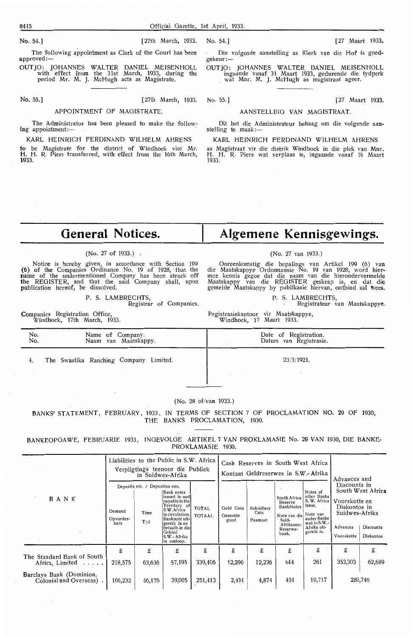The following appointment as Clerk of the Court has been approved:-

OUTJO: JOHANNES WALTER DANIEL MEISENHOLL with effect from the 31st March, 1933, during the period Mr. M. J. McHugh acts as Magistrate.

### APPOINTMENT OF MAGISTRATE.

The Administrator has been pleased to make the follow-<br>ing appointment:-

KARL HEINRICH FERDINAND WILHELM AHRENS

**to** be Magistrate for the district of Windhoek vice Mr. **H.** H. R. Piers transferred, with effect from the 16th March, **1933.** 

Die volgende aanstelling as Klerk van die Hof is goed-gekeur :-

OUTJO: JOHANNES WALTER DANIEL MEJSENHOLL ingaande vanaf 31 Maart 1933, gedurende die tydperk<br>, wat Mnr. M. J. McHugh as magistraat ageer.

No. 55.] (27th March, 1933. No. 55.] (27 Maart 1933.

### AANSTELLING VAN MAGISTRAAT.

Dit het die Administrateur behaag om die volgende aan- stelling te maak :-

KARL HEINRICH FERDINAND WILHELM AHRENS

as Magistraat vir die distrik Windhoek in die plek van **Mnr.**  H. H. R. Piers wat verplaas is, ingaande vanaf 16 Maart 1933.

### **General Notices.**

### (No. 27 of 1933.)

Notice is hereby given, in accordance with Section 199 (6) of the Companies Ordinance No. 19 of 1928, that the name of the undermentioned Company has been struck off the REGISTER, and that the said Company shall, upon publication hereof, be dissolved.

> P. S. LAMBRECHTS, Registrar of Companies.

Companies Registration Office Windhoek, 17th March, 1933. **Algemene Kennisgewings.** 

### (No. 27 van 1933.)

Ooreenkomstig die bepalings van Artikel 199 (6) van die Maatskappye Ordonnansie No. 19 van 1928, word hier-<br>- mee kennis gegee dat die naam van die hierondervermelde Maatskappy van die REGISTER geskrap is, en dat die gemelde Maatskappy by publikasie hiervan, ontbind sal wees.

P. S. LAMBRECHTS,

Registrateur van Maatskappye.

Registrasiekantoor vir Maatskappye, Windhoek, 17 Maart 1933.

| No.<br>No. | Name of Company.<br>Naam van Maatskappy. | Date of Registration.<br>Datum van Registrasie. |
|------------|------------------------------------------|-------------------------------------------------|
|            | The Swastika Ranching Company Limited.   | 23/3/1921.                                      |
|            |                                          |                                                 |

#### (No. 28 of/van 1933.)

BANKS' STATEMENT, FEBRUARY, 1933, IN TERMS Of SECTION 7 Of PROCLAMATION NO. 29 OF 1930, THE BANKS PROCLAMATION, 1930.

BANKEOPOAWE, FEBRUARIE 1933 , INGEVOLOE ARTIKEL 7 VAN PROKLAMASIE No. 29 VAN 1930, DIE BANKE-PROKLAMASIE 1930.

|                                                    |                                                                                                                                                                                                                                                                             | in Suidwes-Afrika | Liabilities to the Public in S.W. Africa<br>Verpligtings teenoor die Publiek |                              |                               | Cash Reserves in South West Africa<br>Kontant Geldreserwes in S.W.- Afrika                       | Advances and<br>Discounts in<br>South West Africa<br>Voorskotte en<br>Diskontos in<br>Suidwes-Afrika<br>Discounts<br>Advances<br>Diskontos<br>Voorskotte |          |              |                                                                                                                           |
|----------------------------------------------------|-----------------------------------------------------------------------------------------------------------------------------------------------------------------------------------------------------------------------------------------------------------------------------|-------------------|------------------------------------------------------------------------------|------------------------------|-------------------------------|--------------------------------------------------------------------------------------------------|----------------------------------------------------------------------------------------------------------------------------------------------------------|----------|--------------|---------------------------------------------------------------------------------------------------------------------------|
| BANK                                               | Deposits etc. / Depositos ens.<br> Bank notes<br>issued in and<br>payable in the<br>Territory of<br>S.W.Africa<br>Demand<br>Time<br>in circulation.<br>Banknote uit-<br>Opvorder-<br>Tyd<br>gereik in en<br>bare<br>betaalb.in diel<br>Gebied<br>S.W.- Afrika<br>in omloop. |                   | <b>TOTAL</b><br><b>TOTAAL</b>                                                | Gold Coin<br>Gemunte<br>goud | Subsidiary<br>Coin<br>Pasmunt | South Africa<br>Reserve<br>BankNotes<br>Note van die<br>Suid-<br>Afrikaanse<br>Reserwe-<br>bank. |                                                                                                                                                          |          |              | Notes of<br>other Banks<br>S. W. Africa<br>issue,<br>Note van<br>ander Banke<br>wat in S.W.-<br>Afrika uit-<br>gereik is. |
| The Standard Bank of South<br>Africa, Limited<br>. | £<br>218,575                                                                                                                                                                                                                                                                | £<br>63,636       | £<br>57,195                                                                  | £<br>339,406                 | £<br>12,296                   | £<br>12,236                                                                                      | £<br>644                                                                                                                                                 | £<br>261 | £<br>353,303 | £<br>62,689                                                                                                               |
| Barclays Bank (Dominion,<br>Colonial and Overseas) | 166,232                                                                                                                                                                                                                                                                     | 46,176            | 39,005                                                                       | 251,413                      | 2,434                         | 4,874                                                                                            | 451                                                                                                                                                      | 10,717   |              | 280,746                                                                                                                   |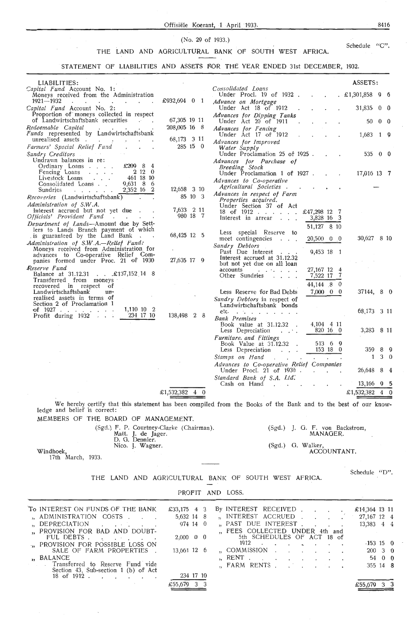### Offisiele Koerant, **l** April 1933. 8416

(No. 29 of 1933.)

### THE LAND AND AGRICULTURAL BANK OF SOUTH WEST AFRICA. Schedule "C".

STATEMENT OF LIABILITIES AND ASSETS FOR THE YEAR ENDED 31st DECEMBER, 1932.

| LIABILITIES:                                                                                                                                                                                                                                                          |                        |                                                                                        | ASSETS:                        |
|-----------------------------------------------------------------------------------------------------------------------------------------------------------------------------------------------------------------------------------------------------------------------|------------------------|----------------------------------------------------------------------------------------|--------------------------------|
| Capital Fund Account No. 1:<br>Moneys received from the Administration                                                                                                                                                                                                |                        | Consolidated Loans<br>Under Procl. 19 of 1932                                          | $. \pounds1,301,858$ 9 6       |
| 1921—1932<br>and a strong control of the state of the state of the state of the state of the state of the state of the state of the state of the state of the state of the state of the state of the state of the state of the state of the                           | £932,694 0 1           | Advance on Mortgage                                                                    |                                |
| Capital Fund Account No. 2:<br>Proportion of moneys collected in respect                                                                                                                                                                                              |                        | Under Act 18 of 1912                                                                   | 31,835<br>$0\quad 0$           |
| of Landwirtschaftsbank securities<br><b>Contract Contract Street</b>                                                                                                                                                                                                  | 67,305 19 11           | Advances for Dipping Tanks<br>Under Act 20 of 1911                                     | 50<br>$0\quad 0$               |
| Redeemable Capital<br>Funds represented by Landwirtschaftsbank                                                                                                                                                                                                        | 208,005 16 8           | Advances for Fencing                                                                   |                                |
| unrealised assets.                                                                                                                                                                                                                                                    | 68,173 3 11            | Under Act 17 of 1912<br>Advances for Improved                                          | 19<br>1,683                    |
| Farmers' Special Relief Fund                                                                                                                                                                                                                                          | $285 \t15 \t0$         | Water Supply                                                                           |                                |
| Sundry Creditors<br>Undrawn balances in re:                                                                                                                                                                                                                           |                        | Under Proclamation 25 of 1925.<br>Advances for Purchase of                             | 53500<br>$\sim$ $\sim$ $\sim$  |
| $£209$ 8<br>Ordinary Loans<br>-4                                                                                                                                                                                                                                      |                        | Breeding Stock                                                                         |                                |
| 2120<br>Fencing Loans<br>461 18 10<br>Livestock Loans                                                                                                                                                                                                                 |                        | Under Proclamation 1 of 1927.                                                          | 17,016 13 7                    |
| $9,631$ 8 6<br>Consolidated Loans<br>2,352 16 2<br>Sundries                                                                                                                                                                                                           | 12,658 3 10            | Advances to Co-operative<br>Agricultural Societies.<br>$\sim$ $\sim$                   |                                |
| $\mathbf{r}$ . The set of the set of the set of the set of the set of the set of the set of the set of the set of the set of the set of the set of the set of the set of the set of the set of the set of the set of the set of t<br>Recoveries (Landwirtschaftsbank) | 85 10 3                | Advances in respect of Farm                                                            |                                |
| Administration of S.W.A.                                                                                                                                                                                                                                              |                        | Properties acquired.<br>Under Section 37 of Act                                        |                                |
| Interest accrued but not yet due.<br>Officials' Provident Fund<br><b>Contract Contract Contract</b>                                                                                                                                                                   | 7,633 2 11<br>980 18 7 | 18 of 1912 £47,298 12 7<br>3,828 16 3<br>Interest in arrear                            |                                |
| Department of Lands-Amount due by Sett-                                                                                                                                                                                                                               |                        | 51,127 8 10                                                                            |                                |
| lers to Lands Branch payment of which<br>is guaranteed by the Land Bank.                                                                                                                                                                                              | 68,425 12 5            | Less special Reserve to                                                                |                                |
| Administration of S.W.A.-Relief Fund:                                                                                                                                                                                                                                 |                        | meet contingencies<br>$20,500 \quad 0 \quad 0$<br>Sundry Debtors                       | 30,627 8 10                    |
| Moneys received from Administration for<br>advances to Co-operative Relief Com-                                                                                                                                                                                       |                        | 9.453 18 1<br>Past Due Interest                                                        |                                |
| panies formed under Proc. 21 of 1930                                                                                                                                                                                                                                  | 27,635 17 9            | Interest accrued at 31.12.32<br>but not yet due on all loan                            |                                |
| Reserve Fund<br>Balance at 31.12.31 £137,152 14 8                                                                                                                                                                                                                     |                        | 27,167 12 4<br>accounts<br>and a state of the state of<br>7,522 17 7<br>Other Sundries |                                |
| Transferred from moneys                                                                                                                                                                                                                                               |                        | 44,144 8 0                                                                             |                                |
| recovered in respect of<br>Landwirtschaftsbank<br>$un-$                                                                                                                                                                                                               |                        | 7,000 0 0<br>Less Reserve for Bad Debts                                                | 37144, 8 0                     |
| realised assets in terms of<br>Section 2 of Proclamation 1                                                                                                                                                                                                            |                        | Sundry Debtors in respect of                                                           |                                |
| 1,110 10 2<br>of $1927$                                                                                                                                                                                                                                               |                        | Landwirtschaftsbank bonds<br>etc. $\ldots$                                             | 68,173 3 11                    |
| Profit during $1932$<br>234 17 10                                                                                                                                                                                                                                     | 138,498 2 8            | <b>Bank</b> Premises                                                                   |                                |
|                                                                                                                                                                                                                                                                       |                        | Book value at 31.12.32.<br>4,104 4 11<br>Less Depreciation<br>$\cdots$                 | 3,283 8 11<br>820 16 0         |
|                                                                                                                                                                                                                                                                       |                        | Furniture. and Fittings                                                                |                                |
|                                                                                                                                                                                                                                                                       |                        | Book Value at $31.12.32$ .<br>Less Depreciation                                        | 513 6 9<br>153 18 0<br>359 8 9 |
|                                                                                                                                                                                                                                                                       |                        | Stamps on Hand<br>$\sim$ $\sim$ $\sim$ $\sim$ $\sim$                                   | $3\quad 0$<br>1                |
|                                                                                                                                                                                                                                                                       |                        | Advances to Co-operative Relief Companies<br>Under Procl. 21 of 1930.                  | 26,648<br>8                    |
|                                                                                                                                                                                                                                                                       |                        | Standard Bank of S.A. Ltd.                                                             |                                |
|                                                                                                                                                                                                                                                                       |                        | Cash on Hand<br>$\sim$ $\sim$                                                          | $13,166$ 9 5                   |
|                                                                                                                                                                                                                                                                       | $£1,532,382$ 4 0       |                                                                                        | £1,532,382 4 0                 |
|                                                                                                                                                                                                                                                                       |                        |                                                                                        |                                |

We hereby certify that this statement has been compiled from the Books of the Bank and to the best of our know- ledge and belief is correct:

MEMBERS OF THE BOARD OF MANAGEMENT.

(Sgd.) F. P. Courtney-Clarke (Chairman). (Sgd.) J. G. F. von Backstrom, (Sgd.) J. G. F. von Backstrom,<br>MANAGER. Matt. J. de Jager.<br>
D. G. Dennier.<br>
Nico. J. Wagner. (Sgd.) G. Walker, ACCOUNTANT.

Windhoek, 17th March, 1933.

### THE LAND AND AGRICULTURAL BANK OF SOUTH WEST AFRICA.

PROFIT AND LOSS.

| To INTEREST ON FUNDS OF THE BANK                                         | £33,175 4 3             |  | By INTEREST RECEIVED                                       |  |  |  | £14,364 13 11         |        |  |
|--------------------------------------------------------------------------|-------------------------|--|------------------------------------------------------------|--|--|--|-----------------------|--------|--|
| "ADMINISTRATION COSTS                                                    | 5,632 14 8              |  | , INTEREST ACCRUED                                         |  |  |  | 27, 167 12 4          |        |  |
| DEPRECIATION                                                             | 974 14 0                |  | "PAST DUE INTEREST.                                        |  |  |  | 13,383 4 4            |        |  |
| " PROVISION FOR BAD AND DOUBT-<br>FUL DEBTS                              | $2,000 \quad 0 \quad 0$ |  | FEES COLLECTED UNDER 4th and<br>5th SCHEDULES OF ACT 18 of |  |  |  |                       |        |  |
| " PROVISION FOR POSSIBLE LOSS ON                                         |                         |  | 1912                                                       |  |  |  | $-153$ 15 0           |        |  |
| SALE OF FARM PROPERTIES.                                                 | 13,661 12 6             |  | "COMMISSION                                                |  |  |  | $200 \quad 3 \quad 0$ |        |  |
| ", BALANCE                                                               |                         |  | $RENT$                                                     |  |  |  |                       | 54 0 0 |  |
| Transferred to Reserve Fund vide<br>Section 43, Sub-section 1 (b) of Act |                         |  | , FARM RENTS                                               |  |  |  | 355 14 8              |        |  |
| 18 of 1912.                                                              | 234 17 10               |  |                                                            |  |  |  |                       |        |  |
|                                                                          | £55,679 3 3             |  |                                                            |  |  |  | $£55,679$ 3 3         |        |  |

Schedule "D".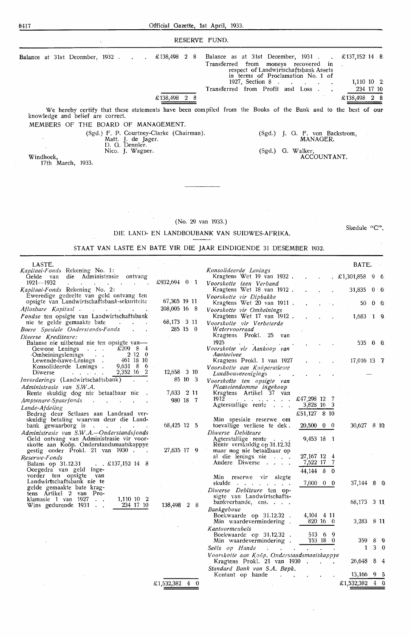|                                                                                                                                     |                                                                                                      | RESERVE FUND.                                                                                                                                                                                                       |                                                                 |
|-------------------------------------------------------------------------------------------------------------------------------------|------------------------------------------------------------------------------------------------------|---------------------------------------------------------------------------------------------------------------------------------------------------------------------------------------------------------------------|-----------------------------------------------------------------|
| <b>Balance</b> at 31st December, 1932.                                                                                              | £138,498 2 8                                                                                         | Balance as at 31st December, 1931.<br>Transferred from moneys recovered in<br>respect of Landwirtschaftsbank Assets<br>in terms of Proclamation No. 1 of<br>$1927$ , Section 8<br>Transferred from Profit and Loss. | £137,152 14 8<br>$1,110$ 10 2<br><b>Contractor</b><br>234 17 10 |
|                                                                                                                                     | £138,498<br>28                                                                                       |                                                                                                                                                                                                                     | £138,498<br>28                                                  |
| knowledge and belief are correct.<br>MEMBERS OF THE BOARD OF MANAGEMENT.                                                            |                                                                                                      | We hereby certify that these statements have been compiled from the Books of the Bank and to the best of our                                                                                                        |                                                                 |
| Windhoek,                                                                                                                           | (Sgd.) F. P. Courtney-Clarke (Chairman).<br>Matt. J. de Jager.<br>D. G. Dennler.<br>Nico. J. Wagner. | (Sgd.) G. Walker,                                                                                                                                                                                                   | $(Sgd.)$ J. G. F. von Backstrom,<br>MANAGER.<br>ACCOUNTANT.     |
| 17th March, 1933.                                                                                                                   |                                                                                                      |                                                                                                                                                                                                                     |                                                                 |
|                                                                                                                                     |                                                                                                      | (No. 29 van 1933.)<br>DIE LAND- EN LANDBOUBANK VAN SUIDWES-AFRIKA.<br>STAAT VAN LASTE EN BATE VIR DIE JAAR EINDIGENDE 31 DESEMBER 1932.                                                                             | Skedule $"C"$ .                                                 |
| LASTE.                                                                                                                              |                                                                                                      |                                                                                                                                                                                                                     | BATE.                                                           |
| <i>Kapitaal-Fonds</i> Rekening No. 1:<br>Gelde van die Administrasie ontvang                                                        |                                                                                                      | Konsolideerde Lenings<br>Kragtens Wet 19 van 1932.                                                                                                                                                                  | . £1,301,858 9 6.                                               |
| 1921-1932                                                                                                                           | $£932,694$ 0 1                                                                                       | Voorskotte teen Verband                                                                                                                                                                                             |                                                                 |
| <i>Kapitaal Fonds</i> Rekening No. 2:<br>Eweredige gedeelte van geld ontvang ten                                                    |                                                                                                      | Kragtens Wet 18 van 1912.                                                                                                                                                                                           | 31,835<br>0 <sub>0</sub>                                        |
| opsigte van Landwirtschaftsbank-sekuriteite                                                                                         | 67,305 19 11                                                                                         | Voorskotte vir Dipbakke<br>Kragtens Wet 20 van 1911 .                                                                                                                                                               | 50.<br>$0 \Omega$                                               |
| Aflosbare Kapitaal .                                                                                                                | 208,005 16 8                                                                                         | Voorskotte vir Omheinings                                                                                                                                                                                           |                                                                 |
| <i>Fondse</i> ten opsigte van Landwirtschaftsbank<br>nie te gelde gemaakte bate<br>Boere Spesiale Onderstands-Fonds                 | 68,173 3 11<br>285 15 0                                                                              | Kragtens Wet 17 van 1912.<br>Voorskotte vir Verbeterde<br>Watervoorraad<br>Kragtens Prokl. 25 van                                                                                                                   | 1,683<br>$1\quad 9$                                             |
| Diverse Krediteure:<br>Balanse nie uitbetaal nie ten opsigte van-<br>Gewone Lenings<br>$\sim 100$ km s $^{-1}$<br>Omheiningslenings | $£209$ 8 4<br>2120                                                                                   | 1925<br>Voorskotte vir Aankoop van<br>Aanteelvee                                                                                                                                                                    | $535 \t0 \t0$                                                   |
| Lewende-hawe-Lenings.<br>Konsolideerde Lenings.<br>Diwerse                                                                          | 461 18 10<br>$9,631$ 8 6<br>2.352 16<br>2<br>12.658 3 10                                             | Kragtens Prokl. 1 van 1927<br>Voorskotte aan Koöperatiewe<br>Landbouverenigings                                                                                                                                     | $17,016$ 13 $\bar{7}$                                           |
| <i>Invorderings</i> (Landwirtschaftsbank)<br>Administracio von CM/A                                                                 | 85 10 3                                                                                              | Voorskotte ten opsigte van<br>$Dl$ graphandomma ingahoon                                                                                                                                                            |                                                                 |

| Lewende-hawe-Lenings.<br>461 18 10                                      |             | Kragtens Prokl. 1 van 1927                                  | $\Delta \sim 10^{11}$ and $\Delta \sim 10^{11}$                                 | 17,016 13 $7^{\circ}$ |
|-------------------------------------------------------------------------|-------------|-------------------------------------------------------------|---------------------------------------------------------------------------------|-----------------------|
| $9,631$ 8 6<br>Konsolideerde Lenings.<br>$2,352$ 16 2<br>Diwerse        | 12,658 3 10 | Voorskotte aan Koöperatiewe<br>Landbouverenigings<br>$\sim$ |                                                                                 |                       |
| Invorderings (Landwirtschaftsbank)                                      | 85 10 3     | Voorskotte ten opsigte van                                  |                                                                                 |                       |
| Administrasie van S.W.A.                                                |             | Plaaseiendomme ingekoop                                     |                                                                                 |                       |
| Rente skuldig dog nie betaalbaar nie                                    | 7,633 2 11  | Kragtens Artikel 37 van                                     |                                                                                 |                       |
| Amptenare-Spaarfonds<br>$\sim$                                          | 980 18 7    | $1912$ £47,298 12 7                                         |                                                                                 |                       |
| Lande-Afdeling                                                          |             | Agterstallige rente                                         | 3,828 16 3                                                                      |                       |
| Bedrag deur Setlaars aan Landraad ver-                                  |             |                                                             | £51,127 8 10                                                                    |                       |
| skuldig betaling waarvan deur die Land-                                 |             | Min spesiale reserwe om                                     |                                                                                 |                       |
| bank gewaarborg is                                                      | 68,425 12 5 | toevallige verliese te dek. $20,500$ 0 0                    |                                                                                 | 810<br>30,627         |
| Administrasie van S.W.A.-Onderstandsfonds                               |             | Diwerse Debiteure                                           |                                                                                 |                       |
| Geld ontvang van Administrasie vir voor-                                |             | Agterstallige rente                                         | 9,453 18 1                                                                      |                       |
| skotte aan Koöp. Onderstandsmaatskappye                                 | 27,635 17 9 | Rente verskuldig op 31.12,32                                |                                                                                 |                       |
| gestig onder Prokl. 21 van 1930.<br>Reserwe-Fonds                       |             | maar nog nie betaalbaar op<br>al die lenings nie            | 27, 167 12 4                                                                    |                       |
| Balans op 31.12.31 . £137,152 14 8                                      |             | Andere Diwerse                                              | 7,522 17 7                                                                      |                       |
| Oorgedra van geld inge-                                                 |             |                                                             | 44,144 8 0                                                                      |                       |
| vorder ten opsigte van                                                  |             | Min reserwe vir slegte                                      |                                                                                 |                       |
| Landwirtschaftsbank nie te                                              |             | skulde<br>the contract of the contract of                   | 7,000 0 0                                                                       | $37,144$ 8 0          |
| gelde gemaakte bate krag-                                               |             | Diwerse Debiteure ten op-                                   |                                                                                 |                       |
| tens Artikel 2 van Pro-                                                 |             | sigte van Landwirtschafts-                                  |                                                                                 |                       |
| klamasie 1 van 1927.<br>1,110 10 2<br>234 17 10<br>Wins gedurende 1931. | 138,498 2 8 | $bankverbande$ , ens.                                       |                                                                                 | 68,173 3 11           |
|                                                                         |             | Bankgeboue                                                  |                                                                                 |                       |
|                                                                         |             | Boekwaarde op 31.12.32.                                     | 4,104 4 11                                                                      |                       |
|                                                                         |             | Min waardevermindering.                                     | 820 16 0                                                                        | 3,283 8 11            |
|                                                                         |             | Kantoormeubels                                              |                                                                                 |                       |
|                                                                         |             | Boekwaarde op 31.12.32 . 513 6 9                            |                                                                                 |                       |
|                                                                         |             | Min waardevermindering . 153 18 0                           |                                                                                 | 359 8 9               |
|                                                                         |             | Seëls op Hande                                              | the contract of the contract of the contract of the contract of the contract of | $3\quad 0$<br>1.      |
|                                                                         |             | Voorskotte aan Koöp. Onderstandsmaatskappye                 |                                                                                 |                       |
|                                                                         |             | Kragtens Prokl. 21 van 1930.                                |                                                                                 | 26,648 8 4            |

Kragtens Prok!. 21 van 1930 *Standard Bank van S.A. Bepk.*  Kontant op hande

 $\sim$ 

 $13,166$  9 5 £1,532,382 4 0

 $\ddot{\phantom{1}}$  $\ddot{\phantom{1}}$ 

£ 1,532,382 **4** 0

 $\sim$   $\epsilon$ 

 $\hat{\mathcal{A}}$ 

8417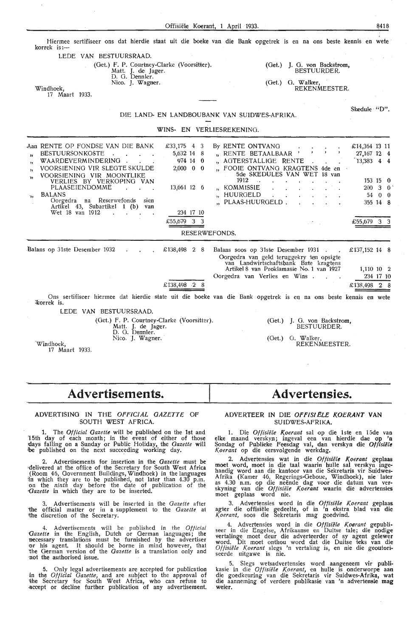| Offisiële Koerant, 1 April 1933.                                                                                                                                                                                                                                                                                                                                                                                                                                                               | 8418                          |
|------------------------------------------------------------------------------------------------------------------------------------------------------------------------------------------------------------------------------------------------------------------------------------------------------------------------------------------------------------------------------------------------------------------------------------------------------------------------------------------------|-------------------------------|
| Hiermee sertifiseer ons dat hierdie staat uit die boeke van die Bank opgetrek is en na ons beste kennis en wete<br>korrek is:—<br>LEDE VAN BESTUURSRAAD.<br>(Get.) F. P. Courtney-Clarke (Voorsitter).<br>J. G. von Backstrom,<br>(Get.)<br>BESTUURDER.<br>Matt. J. de Jager.<br>D. G. Dennler.                                                                                                                                                                                                |                               |
| Nico. J. Wagner.<br>(Get.) G. Walker,<br>REKENMEESTER.<br>Windhoek,<br>17 Maart 1933.                                                                                                                                                                                                                                                                                                                                                                                                          |                               |
| Skedule "D".<br>DIE LAND- EN LANDBOUBANK VAN SUIDWES-AFRIKA.                                                                                                                                                                                                                                                                                                                                                                                                                                   |                               |
| WINS- EN VERLIESREKENING.                                                                                                                                                                                                                                                                                                                                                                                                                                                                      |                               |
| Aan RENTE OP FONDSE VAN DIE BANK<br>£33,175 4 3<br>By RENTE ONTVANG<br>£14,364 13 11<br><b>BESTUURSONKOSTE</b><br>5,632 14 8<br>" RENTE BETAALBAAR<br>27,167 12 4<br>33<br>13,383 4 4<br>WAARDEVERMINDERING<br>974 14 0<br>AGTERSTALLIGE RENTE<br>$\overline{\mathbf{z}}$<br>VOORSIENING VIR SLEGTE SKULDE<br>$2,000 \quad 0 \quad 0$<br>FOOIE ONTVANG KRAGTENS 4de en<br>,<br>5de SKEDULES VAN WET 18 van<br>VOORSIENING VIR MOONTLIKE<br>33<br>1912<br>$\ddotsc$<br>VERLIES BY VERKOPING VAN | $153 \; 15 \; 0$              |
| PLAASEIENDOMME<br>" KOMMISSIE<br>13,661 12 6<br>200<br><b>BALANS</b><br>HUURGELD<br>54<br>,<br>ារ<br>Oorgedra na Reserwefonds sien<br>" PLAAS-HUURGELD.<br>Artikel 43, Subartikel 1 (b) van<br>Wet 18 van 1912<br>234 17 10                                                                                                                                                                                                                                                                    | 3 0<br>$0\quad 0$<br>355 14 8 |
| £55,679 3 3<br>£55,679 3 3                                                                                                                                                                                                                                                                                                                                                                                                                                                                     |                               |
| RESERWEFONDS.                                                                                                                                                                                                                                                                                                                                                                                                                                                                                  |                               |
| Balans op 31ste Desember 1932<br>£138,498 2 8<br>Balans soos op 31ste Desember 1931<br>£137,152 14 8<br>Oorgedra van geld teruggekry ten opsigte<br>van Landwirtschaftsbank Bate kragtens<br>Artikel 8 van Proklamasie No. 1 van 1927<br>Oorgedra van Verlies en Wins.                                                                                                                                                                                                                         | 1,110 10 2<br>234 17 10       |
| £138,498 2<br>£138,498<br>8                                                                                                                                                                                                                                                                                                                                                                                                                                                                    | 28                            |
| Ons sertifiseer hiermee dat hierdie state uit die boeke van die Bank opgetrek is en na ons beste kennis en wete<br>korrek is.                                                                                                                                                                                                                                                                                                                                                                  |                               |
| LEDE VAN BESTUURSRAAD.                                                                                                                                                                                                                                                                                                                                                                                                                                                                         |                               |
| (Get.) F. P. Courtney-Clarke (Voorsitter).<br>(Get.) J. G. von Backstrom,<br>Matt. J. de Jager.<br>BESTUURDER.<br>D. G. Dennler.                                                                                                                                                                                                                                                                                                                                                               |                               |
| Nico. J. Wagner.<br>(Get.) G. Walker,<br>Windhoek,<br>REKENMEESTER.<br>17 Maart 1933.                                                                                                                                                                                                                                                                                                                                                                                                          |                               |

### **Advertisements.**

### ADVERTISING IN THE *OFFICIAL GAZETTE* OF SOUTH WEST AFRICA.

1. The *Official Gazette* will be published on the 1st and 15th day of each month; in the event of either of those<br>days falling on a Sunday or Public Holiday, the *Gazette* will be published on the next succeeding working day.

2. Advertisements for insertion in the *Gazette* must be ·delivered at the office of the Secretary for South West Africa (Room 46, Government Buildings, Windhoek) in the languages fo which they are to be published, not later than 4.30 p.m. on the *ninth* day before the date of publication of the Gazette in which they are to be inserted.

3. Advertisements will be inserted in the *Gazette* after 'the official matter or in a supplement to the *Gazette* at the discretion of the Secretary.

4. Advertisements will be published in the *Official*  Gazette in the English, Dutch or German languages; the necessary translations must be furnished by the advertiser or his agent. It should be borne in mind however, that ihe German version of the *Gazette* is a translation only and not the authorised issue.

5. Only legal advertisements are accepted for publication in the *Official Gazette,* and are subject to the approval of 'the Secretary for South West Africa, who can refuse to accept or decline further publication of any advertisement.

### **Advertensies.**

### ADVERTEER IN DIE OFFISIELE KOERANT VAN SUIDWES-AFRIKA.

1. Die *Offisiële Koerant* sal op die 1ste en 15de van elke maand verskyn; ingeval een van hierdie dae op 'n Sondag of Publieke Feesdag val, dan verskyn die *Offisiele K.oerant* op die eersvolgende werkdag.

2. Advertensies wat in die Offisiële Koerant geplaas moet word, moet in die taal waarin hulle sal verskyn ingehandig word aan die kantoor van die Sekretaris vir Suidwes-Afrika (Kamer 46, Regerings-Geboue, Windhoek), nie later as 4.30 n.m. op die neënde dag voor die datum van ver-<br>skyning van die *Offisiële Koerant* waarin die advertensies moet geplaas word nie.

3. Advertensies word in die Offisiële Koerant geplaas agter die offisiële gedeelte, of in 'n ekstra blad van die *K.oerant,* soos die Sekretaris mag goedvind.

4. Advertensies word in die *Offisiële Koerant* gepubli-<br>seer in die Engelse, Afrikaanse en Duitse tale; die nodige vertalinge moet deur die adverteerder of sy agent gelewer word. Dit moet onthou word dat die Duitse teks van die Offisiële Koerant slegs 'n vertaling is, en nie die geoutoriseerde uitgawe is nie.

5. Slegs wetsadvertensies word aangeneem vir publikasie in die *Offisiele K.oerant,* en hulle is onderworpe **aan**  die goedkeuring van die Sekretaris vir Suidwes-Afrika, **wat**  die aanneming of verdere publikasie van 'n advertensie mag weier.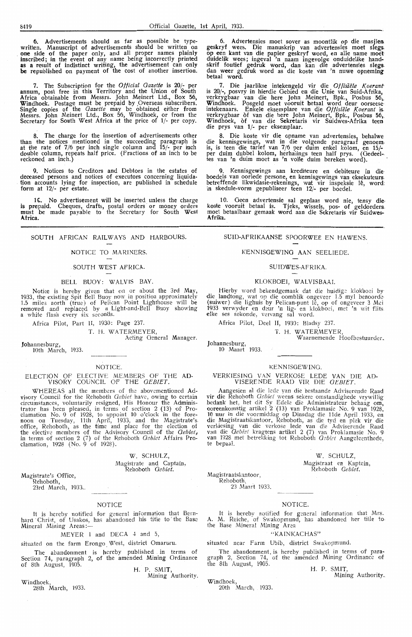6. Advertisements should as far as possible be type- written. Manuscript of advertisements should be written on . **one** side of the paper only, and all proper names plainly inscribed; in the event of any name being incorrectly printed as a result of indistinct writing, the advertisement can only **be** republished on payment of the cost of another insertion.

7. The Subscription for the *Official Gazette* is 20/- per annum, post free in this Territory and the Union of South **Africa** obtainable from Messrs. John Meinert Ltd., Box 56, Windhoek. Postage must be prepaid by ,Overseas subscribers. Single copies of the *Gazette* may be obtained either from Messrs. John Meinert Ltd., Box 56, Windhoek, or from the Secretary for South West Africa at the price of 1/- per copy.

8. The charge for the insertion of advertisements other than the notioes mentioned in the succeeding paragraph is at the rate of 7/6 per inch single column and 15/- per inch double column, repeats half price. (Fractions of an inch to be reckoned an inch.)

9. Notices to Creditors and Debtors in the estates of deceased persons and notices of executors concerning liquidation accounts lying for inspection, are published in schedule form at 12/- per estate.

16. No advertisement will be inserted unless the charge<br>is prepaid. Cheques, drafts, postal orders or money orders<br>must be made payable to the Secretary for South West **Africa.** 

### SOUTH AFRICAN RAILWAYS AND HARBOURS.

#### NOTICE TO MARINERS.

### SOUTH WEST AFRICA.

### BELL BUOY: WALVIS BAY.

Notioe is hereby given that on or about the 3rd May, 1933, the existing Spit Bell Buoy now in position approximately 1.5 miles north (true) of Pelican Point Lighthouse will be removed and replaced by a Light-and-Bell Buoy showing<br>a white flash every six seconds.

Africa Pilot, Part II, 1930: Page 237.

T. H. WATERMEYER, Acting General Manager.

Johannesburg, 10th March, 1933.

### **NOTICE** ELECTION OF ELECTIVE MEMBERS OF THE AD-VISORY COUNCIL OF THE GEBIET.

WHEREAS all the members of the abovementioned Ad-<br>visory Council for the Rehoboth *Gebiet* have, owing to certain circumstances, voluntarily resigned, His Honour the Adminis-<br>trator has been pleased, in terms of section 2 (13) of Proclamation No. 9 of 1928, to appoint 10 o'clock in the fore- noon on Tuesday, 11th April, 1933, and the Magistrate's. office, Rehoboth, as the time and place for the election of the elective members of the Advisory Council of the *Gebiet,*  in terms of section 2 (7) of the Rehoboth *Oebiet* Affairs Proclamation, 1928 (No. 9 of 1928).

### W. SCHULZ, Magistrate and Captain, Rehoboth *Qebiet.*

Magistrate's Office,<br>Rehoboth,<br>23rd March, 1933..

#### NOTICE

It is hereby notified for general information that Bernhard Christ, of Usakos, has abandoned his title to the Base<br>Mineral Mining Areas:—

MEYER I and DECA 4 and 5

situated on the farm Erongo. West, district Omaruru.

The abandonment is hereby published in terms of Section 74, paragraph 2, of the amended Mining Ordinance of 8th August, 1905.<br>H. P. SMIT

Mining Authority

Windhoek, 28th March, 1933.

6. Advertensies moet sover as moontlik op die masjien. geskryf wees. Die manuskrip van advertensies moet slegs. op een kant van die papier geskryf word, en alle name moet-duidelik wees; ingeva1 'n naam ingevolge onduidelike handskrif foutief gedruk word, dan kan die advertensies slegs. dan weer gedruk word as die koste van 'n nuwe opneming betaal word.

7. Die jaarlikse intekengeld vir die Offisiële Koerant is 20/-, posvry in hierdie Gebied en die Unie van Suid-Afrika, verkrygbaar van die here John Meinert, Bpk., Posbus 56,<br>Windhoek. Posgeld moet vooruit betaal word deur oorseese<br>intekenaars. Enkele eksemplare van die Offisiële Koerant is<br>verkrygbaar òf van die here John Meinert, Bpk., P Windhoek, of van die Sekretaris vir Suidwes-Afrika teen die prys van **1/-** per eksemplaar.

8. Die koste vir die opname van advertensies, behalwe die kennisgewings, wat in die volgende paragraaf genoem, is, is teen die tarief van 7/6 per duim enkel kolom, en 15/~ per duim dubbel kolom, herhalings teen half prys. (Gedeel-tes van 'n duim moet as 'n volle duim bereken word).

9. Kennisgewings aan krediteure en debiteure in die· boedels van oorlede persone, en kennisgewings van eksekuteurs. betreffende likwidasie-rekenings, wat vir inspeksie le, word; in skedule-vorm gepubliseer teen 12/- per boedel.

10. Geen advertensie sal geplaas word nie, tensy diekoste vooruit betaal is. Tjeks, wissels, pos- of geldorders. moet betaalbaar gemaak word aan die Sekretaris vir Suidwes- **Afrika.** 

### SUID-AFRIKAANSE SPOORWEE EN HAWENS.

### KENNISGEWING AAN SEELIEDE.

### SUIDWES-AFRIKA.

### KLOKBOEI, WALVISBAAL

Hierby word bekendgemaak dat die huidige klokboei by die landtong, wat op die oomblik ongeveer 1.5 myl benoorde (suiwer) die lighuis by Pelican-punt lê, op of ongeveer 3 Mei 1933 verwyder en deur 'n lig- en klokboei, met 'n wit flits elke ses sekonde, vervang sal word.

Africa Pilot, Deel II, 1930: Bladsy 237.

T. H. WA TERMEYER,

Waarnemende Hoofbestuurder.

Johannesburg, 10 Maart 1933.

### **KENNISGEWING**

### VERKIESING VAN VERKOSE LEDE VAN DIE AD-<br>VISERENDE RAAD VIR DIE *GEBIET*.

Aangesien al die lede yan die bestaande Adviserende Raad· **vir** die Rehoboth *Oebict* weens sekere omstandighede vrywillig bedank het, het dit Sy Edele die Administrateur behaag om, ooreenkomstig artikel 2 (13) van Proklamasie No. 9 van 1928, 10 uur in die voormiddag op Dinsdag die 11de April 1933, en die Magistraatskantoor, Rehoboth, as die t verkiesing van die verkose Iede van die Adviserende Raad van die *Gebiet* kragtens artikel 2 (7) van Prokiamasie No. <sup>9</sup> van l92S met betrekking tot Rehoboth *Oebiet* Aangeleenthede, te bepaal.

\Y/. SCHULZ,

Magistraat en Kaptein, Rehoboth *Oebiet.* 

Magistraatskantoor,<br>Rehoboth,<br>23 Maart 1933.

### **NOTICE**

It is hereby notified for general information that Mrs.<br>A. M. Reiche, of Swakopmund, has abandoned her title to, the Base Mineral Mining Area

### $\overline{W}$ KA INKACHAS'

situated near Farm Ubib, district Swakopmund.

The abandonment is hereby published in terms of para-graph 2, Section 74, of the amended Mining Ordinance of the 8th August, 1905.

H. P. SMIT Mining Authority.

Windhoek, 20th March, 1933.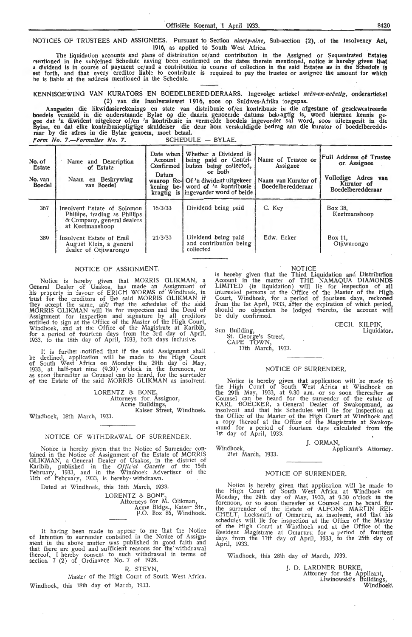NOTICES OF TRUSTEES AND ASSIGNEES. Pursuant to Section *ninety-nine*, Sub-section {2), of the Insolvency Act, 1916, as applied to South West Africa.

The liquidation accounts and plans of distribution or/and contribution in the Assigned or Sequestrated **Estates**  mentioned in the subjclned Schedule having been confirmed on the dates therein mentioned, notice is hereby given **that**  a dividend is in course of payment or/and a contribution in course of collection in the said Estates as in the Schedule is set forth, and that every creditor liable to contribute is required to pay the trustee or assignee the amount for which.<br>he is liable at the address mentioned in the Schedule.

KENNISGEWING VAN KURATORS EN BOEDELBEREDDERAARS. Ingevolge artiekel *neën-en-neëntig*, onderartiekel (2) van die Insolvensiewet 1916, soos op Suidwes-Afrika toegepas.

Aangesien die likwidasierekenings en state van distribusie of/en kontribusie in die afgestane of gesekwestreerde boedels vermeld in die onderstaande Bylae op die daarin genoemde datums bekragtig is, word hiennee kennis gegee dat 'n diwident uitgekeer of/en 'n kontribusie in vermelde boedels ingevorder sal word, soos uiteengesit in die<br>Bylae, en dat elke kontribusiepligtige skuldeiser die deur hom verskuldigde bedrag aan die kurator of boed

|                                              | Form No. 7.-Formulier No. 7.                                                                                  |                                                            | SCHEDULE - BYLAE.                                                                                                                                                                              |                                                                            |                                                                                                         |
|----------------------------------------------|---------------------------------------------------------------------------------------------------------------|------------------------------------------------------------|------------------------------------------------------------------------------------------------------------------------------------------------------------------------------------------------|----------------------------------------------------------------------------|---------------------------------------------------------------------------------------------------------|
| No. of<br>Estate<br>No. van<br><b>Boedel</b> | Name and Description<br>of Estate<br>Naam en Beskrywing<br>van Boedel                                         | Date when I<br>Account<br>Confirmed<br>Datum<br>kening be- | Whether a Dividend is<br>being paid or Contri-<br>bution being collected,<br>or both<br>waarop Re-1 Of 'n diwident uitgekeer<br>word of 'n kontribusie<br>kragtig is lingevorder word of beide | Name of Trustee or<br>Assignee<br>Naam van Kurator of<br>Boedelberedderaar | Full Address of Trustee<br>or Assignee<br>Volledige Adres van<br>Kurator of<br><b>Boedelberedderaar</b> |
| 367                                          | Insolvent Estate of Solomon<br>Phillips, trading as Phillips<br>& Company, general dealers<br>at Keetmanshoop | 16/3/33                                                    | Dividend being paid                                                                                                                                                                            | C. Key                                                                     | Box 38.<br>Keetmanshoop                                                                                 |
| 389                                          | Insolvent Estate of Emil<br>August Klein, a general<br>dealer of Otjiwarongo                                  | 21/3/33                                                    | Dividend being paid<br>and contribution being<br>collected                                                                                                                                     | Edw. Ecker                                                                 | Box 11.<br>Otjiwarongo                                                                                  |

### NOTICE OF ASSIGNMENT.

Notice is hereby given that MORRIS GLIKMAN, a General Dealer of Usakos, has made an Assignment of his property in favour of ERICH WORMS of' Windhoek, in trust for the creditors of the said MORRIS GLIKMAN if they accept the same, and that the schedules of the said MORRIS GLIKMAN will lie for inspection and the Deed of Assignment for inspection and signature by all creditors<br>entitled to sign at the Office of the Master of the High Court, Windhoek, and at the Office of the Magistrate at Karibib, for a period of fourteen days from the 3rd day of April, 1933, to the 18th day of April, 1933, both days inclusive.

It is further .notified that if the said Assignment sha1! be declined, application will be made *to* the High Court of South West Africa on Monday the 29th day of May, 1933, at half-past nine (9.30) o'clock in the forenoon, or as soon thereafter as Counsel can be heard, for the surrender of the Estate of the said MORRIS GLIKMAN as insolvent.

> LORENTZ & BONE. Attorneys for. Assignor, Acme Buildings,

Kaiser Street, Windhoek, Windhoek, 18th March, 1933.

### NOTICE OF WITHDRAWAL Of SURRENDER.

Notice is hereby given that the Notice of Surrender contained in the Notice of Assignment of the Estate of MORRIS GLIKMAN, a General Dealer of Usakos, in the district of Karibib, published in the *Official Gazette* of the 15th February, 1933, and in the Windhoek Advertiser of the **11th** of February, 1933, is hereby withdrawn.

Dated at Windhoek, this 18th March, 1933.

LORENTZ & BONE

Attorneys for M. Glikman, Acme Bldgs., Kaiser Str., P.O. Box 85, Windhoek.

It having been made *to* appear to me that the Notice of Intention to surrender contained in the Notice of Assign- ment in the above matter was published in good faith and that there are good and sufficient reasons for the withdrawal thereof, I hereby consent to such withdrawal in terms of section  $7$  (2) of Ordinance No. 7 of 1928.

### R. STEYN,

Master of the High Court of South Wesf Africa. Windhoek, this 18th day of March, 1933.

NOTICE

is hereby given that the Third Liquidation and Distribution Acoount in the matter of THE NAMAQUA DIAMONDS LIMITED (in liquidation) will lie for inspection of all inte rested persons at the Offioe of the Master of the **High**  Court, Windhoek, for a period of fourteen days, reckoned from the 1st April, 1933, after the expiration of which period, should no objection be lodged thereto, the account will be duiy confirmed.

> CECIL KiLPIN,  $\overline{\text{Lipu}}$

Sun Building, St. George's Street, CAPE TOWN, 17th March, 1933.

#### NOTICE OF SURRENDER.

Notice is hereby given that application wiU be made to the High Court of South West Africa at Windhoek **on**  the 29th May, 1933, at 9.30 a.m. o r so soon thereafter as Counsel can be heard for the surrender of the estate of KARL BOECKER, a General Dealer of Swakopmund, as insolvent and that his Schedules will lie for inspection at the Office of the Master of the High Court at Windhoek and a copy thereof at the Office of the Magistrate at Swakop, mund for a period of fourteen days calculated from the 1st day of April, 1933.

Windhoek,<br>21st March, 1933. I. ORMAN Applicant's Attorney.

#### NOTICE Of SURRENDER.

Notice is hereby given that application will be made to the High Court of South West Africa at Windhoek on Monday, the 29th day of May, 1933, at 9.30 o'clock in the forenoon, or so soon thereafer as Counsel can be heard for the surrender of the Estate of ALFONS MARTIN REI-CHELT, Locksmith of Omaruru, as. insolvent, and that his schedules will lie for inspection at the Office of the Master of the High Court at Windhoek and at the Office of the Resident Magistrate at Omaruru for a period of fourteen days from the 11th day of April, 1933, to the 25th day of April, 1933.

Windhoek, this 28th day of March, 1933.

J. D. LARDNER BURKE, Attorney for the Applicant, Liwinowski's Buildings, Windhoek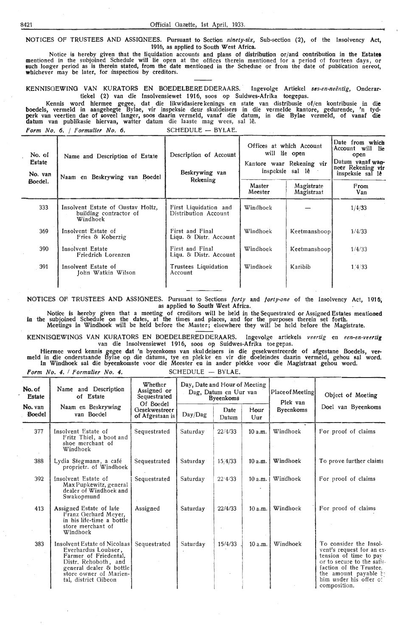NOTICES OF TRUSTEES AND ASSIGNEES. Pursuant to Section *ninety-six,* Sub-section (2), of the Iasolvency Act, 1916, as applied to South West Africa.

Notice is hereby given that the liquidation accounts and plans of distribution or/and contribution in the **Estatet**  mentioned in the subjoined Schedule will lie open at the offices therein mentioned for a period of fourteen days, or<br>such longer period as is therein stated, from the date mentioned in the Scheduie or from the date of publ whichever may be later, for inspection by creditors.

KENNISGEWING VAN KURATORS EN BOEDELBERE DDERAARS. Ingevolge Artiekel ses-en-neëntig, Onderartiekel (2) van die Insolvensiewet 1916, soos op Suidwes-Afrika toegepas.

Kennis word hiermee gegee, dat die likwidasiere kenings en state van distribusie of/en kontribusie in die boedels, vermeld in aangehegte Bylae, vir inspeksie deur skuldeisers in die vermelde kantote, gedurende, 'n tyd• perk van veertien dae of soveel !anger, soos daarin vermeld, vanaf die datum, in die Bylae vermeld, of vanaf die **datum van publikasie hiervan, watter datum** die laaste mag wees, sal lê. *Form No. 6. / Formulier No. 6.* SCHEDULE - BYLAE.

| No. of<br>Estate<br>No. van | Name and Description of Estate<br>Naam en Beskrywing van Boedel         | Description of Account<br>Beskrywing van<br>Rekening | Offices at which Account<br>will lie open<br>Kantore waar Rekening vir<br>inspeksie sal lê |                          | Date from which<br>Account will lie<br>open<br>Datum vanaf wan-<br>neer Rekening vir<br>inspeksie sal le |
|-----------------------------|-------------------------------------------------------------------------|------------------------------------------------------|--------------------------------------------------------------------------------------------|--------------------------|----------------------------------------------------------------------------------------------------------|
| Boedel.                     |                                                                         |                                                      | Master<br>Meester                                                                          | Magistrate<br>Magistraat | From<br>Van                                                                                              |
| 333                         | Insolvent Estate of Gustav Holtz,<br>building contractor of<br>Windhoek | First Liquidation and<br>Distribution Account        | Windhoek                                                                                   |                          | 1/4/33                                                                                                   |
| 369                         | Insolvent Estate of<br>Fries & Koberzig                                 | First and Final<br>Ligu. & Distr. Account            | Windhoek                                                                                   | Keetmanshoop             | 1/4/33                                                                                                   |
| 390                         | Insolvent Estate<br>Friedrich Lorenzen                                  | First and Final<br>Liqu. & Distr. Account            | Windhoek                                                                                   | Keetmanshoop             | 1/4/33                                                                                                   |
| 391                         | Insolvent Estate of<br>John Watkin Wilson                               | Trustees Liquidation<br>Account                      | Windhoek                                                                                   | Karibib                  | 1.4/33                                                                                                   |

NOTICES OF TRUSTEES AND ASSIGNEES. Pursuant to Sections *forty* and *forty-one* of the Insolvency Act, 1916, as applied to South West Africa.

Notice is hereby given that a meeting of creditors will be heid in the Sequestrated or Assigned Estates mentioned in the subjoined Schedule on the dates, at the times and places, and for the purposes therein set forth. Meetings in Windhoek will be held before the Master; elsewhere they will be held before the Magistrate.

KENNISGEWINGS VAN KURATORS EN BOEDELBEREDDERAARS. lngevolge artiekels *veertig* eri *een-en-vurtig*  van die Insolvensiewet 1916, soos op Suidwes-Afrika toe gepas.

Hiermee word kennis gegee dat 'n byeenkoms van skul deisers in die gesekwestreerde of afgestane Boedels, ver- meld in die onderstaande Bylae op die datums, tye en plekke en vir die doeleindes daarin vermeld, gehou sal word. In Windhoek sal die byeenkomste voor die Meester en in ander plekke voor die Magistraat gehou word.

*Form No. 4. / Formulier No. 4.* SCHEDULE - BYLAE.

| No. of<br><b>Estate</b>  | Name and Description<br>of Estate                                                                                                                                                 | Whether<br>Assigned or<br>Sequestrated<br>Of Boedel | Day, Date and Hour of Meeting | Dag, Datum en Uur van<br><b>Byeenkoms</b> |             | Place of Meeting<br>Plek van | Object of Meeting                                                                                                                                                                                         |
|--------------------------|-----------------------------------------------------------------------------------------------------------------------------------------------------------------------------------|-----------------------------------------------------|-------------------------------|-------------------------------------------|-------------|------------------------------|-----------------------------------------------------------------------------------------------------------------------------------------------------------------------------------------------------------|
| No. van<br><b>Boedel</b> | Naam en Beskrywing<br>van Boedel                                                                                                                                                  | Gesekwestreer<br>of Afgestaan is                    | Day/Dag                       | Date<br>Datum                             | Hour<br>Uur | <b>Byeenkoms</b>             | Doel van Byeenkoms                                                                                                                                                                                        |
| 377                      | Insolvent Estate of<br>Fritz Thiel, a boot and<br>shoe merchant of<br>Windhoek                                                                                                    | Sequestrated                                        | Saturday                      | 22/4/33                                   | 10a.m.      | Windhoek                     | For proof of claims                                                                                                                                                                                       |
| 388                      | Lydia Stegmann, a café<br>proprietr. of Windhoek                                                                                                                                  | Sequestrated                                        | Saturday                      | 15/4/33                                   | 10 a.m.     | Windhoek                     | To prove further claims                                                                                                                                                                                   |
| 392                      | Insolvent Estate of<br>Max Pupkewitz, general<br>dealer of Windhoek and<br>Swakopmund                                                                                             | Sequestrated                                        | Saturday                      | 22'4/33                                   | 10 a.m.     | Windhoek                     | For proof of claims                                                                                                                                                                                       |
| 413                      | Assigned Estate of late<br>Franz Gerhard Meyer,<br>in his life-time a bottle<br>store merchant of<br>Windhoek                                                                     | Assigned                                            | Saturday                      | 22/4/33                                   | 10 a.m.     | Windhoek                     | For proof of claims                                                                                                                                                                                       |
| 383                      | Insolvent Estate of Nicolaas<br>Everhardus Loubser,<br>Farmer of Friedental,<br>Distr. Rehoboth, and<br>general dealer & bottle<br>store owner of Marien-<br>tal, district Gibeon | Sequestrated                                        | Saturday                      | 15/4/33                                   | 10a.m.      | Windhoek                     | To consider the Insol-<br>vent's request for an ex-<br>tension of time to pay<br>or to secure to the satis-<br>faction of the Trustee.<br>the amount payable by<br>him under his offer of<br>composition. |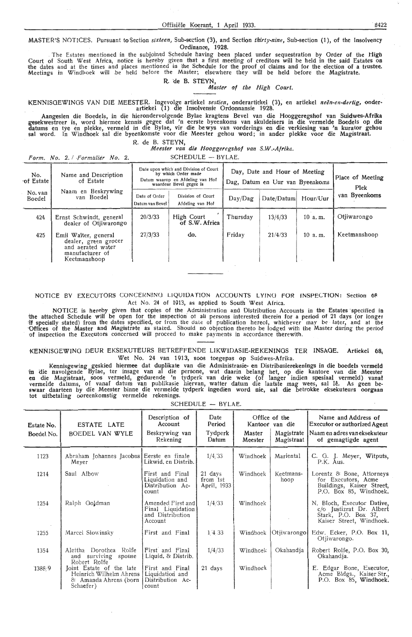MASTER'S NOTICES. Pursuant to Section *sixteen,* Sub-section (3), and Section *thirty-nine,* Sub-section (1 ), of the Insolvency Ordinance, 1928.

. The Estates mentioned in the subjoined Schedule tiaving been placed under sequestration by Order of the High Court of South West Africa, notice is hereby given that a first meeting of creditors will be held in the said Estates on<br>the dates and at the times and places mentioned in the Schedule for the proof of claims and for the e Meetings in Windl;oek will be held before the Master; elsewhere they wiil be held before the Magistrate.

> R. 'de B. STEYN, *Mastet of the High Court.*

i<ENNISGEWINGS VAN DIE MEESTER. . Ingevolge artiekel *sestieµ.,* onderartiekel (3), en attiekel *neen-en-dertig,* onder- artiekel (1) die Insolvensie Ordonnansie 1928.

Aangesien die Boedels, in die hierondervolgende Bylae kragtens Bevel van die Hooggeregshof van Suidwes-Afrika gesekwestreer is, word hiermee kennis gegee dat 'n eerste byeenkoms van skuldeisers in die vermelde Boedels op die datums en tye en plekke, vermeld in die Bylae, vir die be wys van vorderings en die verkiesing van 'n kurator gehou sal word. In Windhoek sal die byeenkomste voor die Meester gehou word; in ander plekke voor die Magistraat.

R. de B. STEYN, *Meester van* **die** *Hooggeregshof van S.W.-Aftika.* 

*!'arm. No. 2. I .Porniilliet No. 2.* SCHEDULE - BYLAE.

| No.<br>Name and Description<br>of Estate<br>of Estate |                                                                                                      |                                  | Date upon which and Division of Court<br>by which Order made<br>Datum waarop en Afdeling van Hof<br>waardeur Bevel gegee is |          | Day, Date and Hour of Meeting<br>Dag, Datum en Uur van Byeenkoms |          | Place of Meeting<br>Plek |  |
|-------------------------------------------------------|------------------------------------------------------------------------------------------------------|----------------------------------|-----------------------------------------------------------------------------------------------------------------------------|----------|------------------------------------------------------------------|----------|--------------------------|--|
| No. van<br>Boedel                                     | Naam en Beskrywing<br>van Boedel                                                                     | Date of Order<br>Datum van Bevel | Division of Court<br>Afdeling van Hof                                                                                       | Day/Dag  | Date/Datum                                                       | Hour/Uur | van Byeenkoms            |  |
| 424                                                   | Ernst Schwindt, general<br>dealer of Otjiwarongo                                                     | 20/3/33                          | High Court<br>of S.W. Africa                                                                                                | Thursday | 13/4/33                                                          | 10 a.m.  | Otiiwarongo              |  |
| 425                                                   | Emil Walter, general<br>dealer, green grocer<br>and aerated water<br>manufacturer of<br>Keetmanshoop | 27/3/33                          | do.                                                                                                                         | Friday   | 21/4/33                                                          | 10 a.m.  | Keetmanshoop             |  |

### NOTICE BY EXECUTORS CONCERNING LIQUIDATION ACCOUNTS LYING FOR INSPECTION: Section 68 Act No. 24 of 1913, as applied to South West Africa.

NOTICE is hereby given that copies of the Administration and Distribution Accounts in the Estates specified in the attached Schedule will be open for the inspection of all persons interested therein for a period of 21 days (or longer<br>If specially stated) from the dates specified, or from the date of publication hereof, whichever ma Offices of the Master and Magistrate as stated. Should no objection thereto be lodged with the Master during the period of inspection the Executors concerned will proceed to make payments in accordance therewith.

### KENNI5GEWING DEUR EKSEKUTEURS BETREFFENDE LIKWIDASIE-REKENINGS TER INSAGE. Artiekel 68, Wet No. 24 van 1913, soos toegepas op Suidwes-Afrika

Kennisgewing geskied hiermee dat duplikate van die Administrasie- en Distribusierekenings in die boedels vermeld 111 oie navolgende Bylae, ter insage van al die persone, wat daarin belang het, op die kantore van die Meester **en** die Magistraat, soos vetnield, gedurende 'n tydperk vart drie weke (of !anger indien spesiaal vermeld) vanaf vermelde datums, of vanaf datum van publikasie hiervan, watter datum die laatste mag wees, sal lê. As geen be-<br>swaar daarteen by die Meester binne die vermelde tydperk ingedien word nie, sal die betrokke eksekuteurs oorgaa tot uitbetaling ooreenkomstig vermelde rekenings.

 $SCHFDUIF - RVIAF$ 

| Estate No.<br>Boedel No. | ESTATE LATE<br>BOEDEL VAN WYLE                                                            | Description of<br>Account<br>Beskrywing van<br>Rekening               | Date<br>Period<br>Tydperk<br>Datum | Master<br>Meester | Office of the<br>Kantoor van die<br>Magistrate<br>Magistraat | Name and Address of<br><b>Executor or authorized Agent</b><br>Naam en adres van eksekuteur<br>of gemagtigde agent |
|--------------------------|-------------------------------------------------------------------------------------------|-----------------------------------------------------------------------|------------------------------------|-------------------|--------------------------------------------------------------|-------------------------------------------------------------------------------------------------------------------|
| 1123                     | Abraham Johannes Jacobus Eerste en finale<br>Meyer                                        | Likwid, en Distrib.                                                   | 1/4/33                             | Windhoek          | Mariental                                                    | C. G. J. Meyer, Witputs,<br>P.K. Aus.                                                                             |
| 1214                     | Saul Albow                                                                                | First and Final<br>Liquidation and<br>Distribution Ac-<br>count       | 21 days<br>from 1st<br>April, 1933 | Windhoek          | Keetmans-<br>hoop                                            | Lorentz & Bone, Attorneys<br>for Executors, Acme<br>Buildings, Kaiser Street,<br>P.O. Box 85, Windhoek.           |
| 1254                     | Ralph Goldman                                                                             | Amended First and<br>Final Liquidation<br>and Distribution<br>Account | 1/4/33                             | Windhoek          |                                                              | N. Bloch, Executor Dative,<br>c/o Justizrat Dr. Albert<br>Stark, P.O. Box 37,<br>Kaiser Street, Windhoek.         |
| 1255                     | Marcel Slowinsky                                                                          | First and Final                                                       | 14.33                              | Windhoek          | Otiiwarongol                                                 | Edw. Ecker, P.O. Box 11,<br>Otiiwarongo.                                                                          |
| 1354                     | Alettha Dorothea Rolfe<br>and surviving spouse<br>Robert Rolfe                            | First and Final<br>Liquid. & Distrib.                                 | 1/4/33                             | Windhoek          | Okahandja                                                    | Robert Rolfe, P.O. Box 30,<br>Okahandja.                                                                          |
| 1388.9                   | Joint Estate of the late<br>Heinrich Wilhelm Ahrens<br>& Amanda Ahrens (born<br>Schaefer) | First and Final<br>Liquidation and<br>Distribution Ac-<br>count       | $21$ days                          | Windhoek          |                                                              | E. Edgar Bone, Executor,<br>Acme Bldgs., Kaiser Str.,<br>P.O. Box 85, Windhoek.                                   |